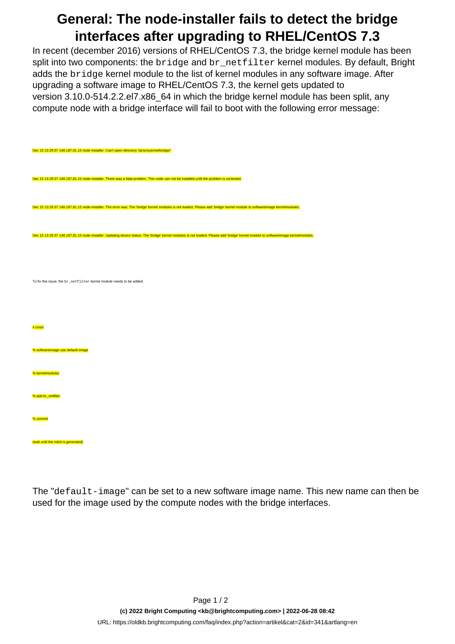## **General: The node-installer fails to detect the bridge interfaces after upgrading to RHEL/CentOS 7.3**

In recent (december 2016) versions of RHEL/CentOS 7.3, the bridge kernel module has been split into two components: the bridge and br\_netfilter kernel modules. By default, Bright adds the bridge kernel module to the list of kernel modules in any software image. After upgrading a software image to RHEL/CentOS 7.3, the kernel gets updated to version 3.10.0-514.2.2.el7.x86\_64 in which the bridge kernel module has been split, any compute node with a bridge interface will fail to boot with the following error message:

| Dec 15 13:29:37 148.187.81.15 node-installer: Can't open directory '/proc/sys/net/bridge/'.                                                                                        |
|------------------------------------------------------------------------------------------------------------------------------------------------------------------------------------|
| Dec 15 13:29:37 148.187.81.15 node-installer: There was a fatal problem. This node can not be installed until the problem is corrected.                                            |
| Dec 15 13:29:37 148.187.81.15 node-installer: The error was: The 'bridge' kernel modules is not loaded. Please add 'bridge' kernel module to softwareimage kernelmodules.          |
| Dec 15 13:29:37 148.187.81.15 node-installer: Updating device status: The 'bridge' kernel modules is not loaded. Please add 'bridge' kernel module to softwareimage kernelmodules. |
| To fix this issue, the br_netfilter kernel module needs to be added:                                                                                                               |
| # cmsh                                                                                                                                                                             |
| % softwareimage use default-image                                                                                                                                                  |
| % kernelmodules                                                                                                                                                                    |
| % add br_netfilter                                                                                                                                                                 |
| % commit                                                                                                                                                                           |
| (wait until the initrd is generated)                                                                                                                                               |

The "default-image" can be set to a new software image name. This new name can then be used for the image used by the compute nodes with the bridge interfaces.